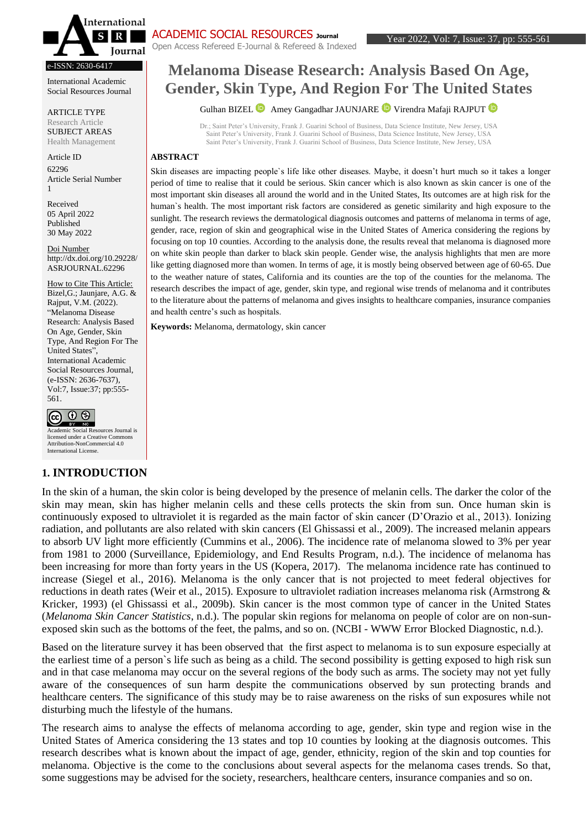

e-ISSN: 2630-6417

International Academic Social Resources Journal

ARTICLE TYPE Research Article SUBJECT AREAS Health Management

Article ID 62296 Article Serial Number 1

Received 05 April 2022 Published 30 May 2022

Doi Number http://dx.doi.org/10.29228/ ASRJOURNAL.62296

How to Cite This Article: Bizel,G.; Jaunjare, A.G. & Rajput, V.M. (2022). "Melanoma Disease Research: Analysis Based On Age, Gender, Skin Type, And Region For The United States", International Academic Social Resources Journal, (e-ISSN: 2636-7637), Vol:7, Issue:37; pp:555- 561.

 $\circledcirc$ **EXTEND** Academic Social Resources Journal is licensed under a Creative Common Attribution-NonCommercial 4.0 International License.

## **1. INTRODUCTION**

Open Access Refereed E-Journal & Refereed & Indexed

# **Melanoma Disease Research: Analysis Based On Age, Gender, Skin Type, And Region For The United States**

#### GulhanBIZEL **D** Amey Gangadhar JAUNJARE **D** Virendra Mafaji RAJPUT **D**

Dr.; Saint Peter's University, Frank J. Guarini School of Business, Data Science Institute, New Jersey, USA Saint Peter's University, Frank J. Guarini School of Business, Data Science Institute, New Jersey, USA Saint Peter's University, Frank J. Guarini School of Business, Data Science Institute, New Jersey, USA

#### **ABSTRACT**

Skin diseases are impacting people`s life like other diseases. Maybe, it doesn't hurt much so it takes a longer period of time to realise that it could be serious. Skin cancer which is also known as skin cancer is one of the most important skin diseases all around the world and in the United States, Its outcomes are at high risk for the human's health. The most important risk factors are considered as genetic similarity and high exposure to the sunlight. The research reviews the dermatological diagnosis outcomes and patterns of melanoma in terms of age, gender, race, region of skin and geographical wise in the United States of America considering the regions by focusing on top 10 counties. According to the analysis done, the results reveal that melanoma is diagnosed more on white skin people than darker to black skin people. Gender wise, the analysis highlights that men are more like getting diagnosed more than women. In terms of age, it is mostly being observed between age of 60-65. Due to the weather nature of states, California and its counties are the top of the counties for the melanoma. The research describes the impact of age, gender, skin type, and regional wise trends of melanoma and it contributes to the literature about the patterns of melanoma and gives insights to healthcare companies, insurance companies and health centre's such as hospitals.

**Keywords:** Melanoma, dermatology, skin cancer

In the skin of a human, the skin color is being developed by the presence of melanin cells. The darker the color of the skin may mean, skin has higher melanin cells and these cells protects the skin from sun. Once human skin is continuously exposed to ultraviolet it is regarded as the main factor of skin cancer (D'Orazio et al., 2013). Ionizing radiation, and pollutants are also related with skin cancers (El Ghissassi et al., 2009). The increased melanin appears to absorb UV light more efficiently (Cummins et al., 2006). The incidence rate of melanoma slowed to 3% per year from 1981 to 2000 (Surveillance, Epidemiology, and End Results Program, n.d.). The incidence of melanoma has been increasing for more than forty years in the US (Kopera, 2017). The melanoma incidence rate has continued to increase (Siegel et al., 2016). Melanoma is the only cancer that is not projected to meet federal objectives for reductions in death rates (Weir et al., 2015). Exposure to ultraviolet radiation increases melanoma risk (Armstrong & Kricker, 1993) (el Ghissassi et al., 2009b). Skin cancer is the most common type of cancer in the United States (*Melanoma Skin Cancer Statistics*, n.d.). The popular skin regions for melanoma on people of color are on non-sunexposed skin such as the bottoms of the feet, the palms, and so on. (NCBI - WWW Error Blocked Diagnostic, n.d.).

Based on the literature survey it has been observed that the first aspect to melanoma is to sun exposure especially at the earliest time of a person`s life such as being as a child. The second possibility is getting exposed to high risk sun and in that case melanoma may occur on the several regions of the body such as arms. The society may not yet fully aware of the consequences of sun harm despite the communications observed by sun protecting brands and healthcare centers. The significance of this study may be to raise awareness on the risks of sun exposures while not disturbing much the lifestyle of the humans.

The research aims to analyse the effects of melanoma according to age, gender, skin type and region wise in the United States of America considering the 13 states and top 10 counties by looking at the diagnosis outcomes. This research describes what is known about the impact of age, gender, ethnicity, region of the skin and top counties for melanoma. Objective is the come to the conclusions about several aspects for the melanoma cases trends. So that, some suggestions may be advised for the society, researchers, healthcare centers, insurance companies and so on.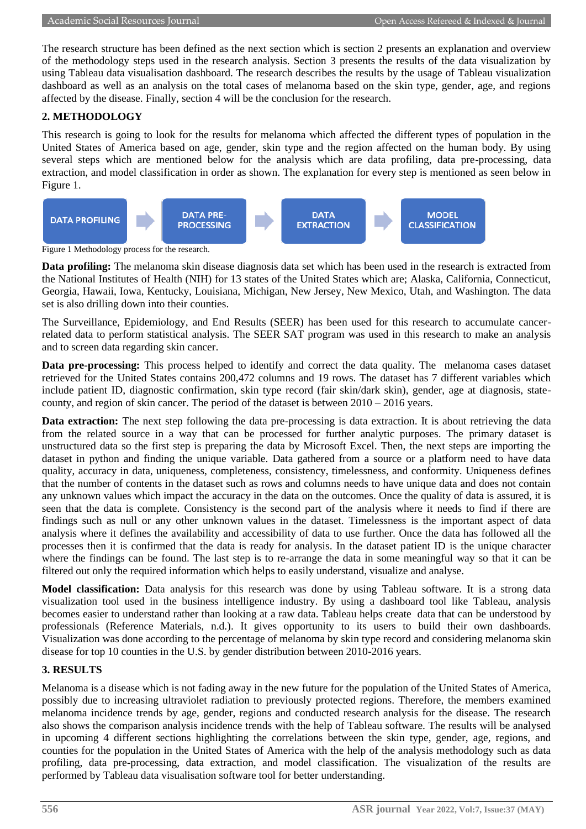The research structure has been defined as the next section which is section 2 presents an explanation and overview of the methodology steps used in the research analysis. Section 3 presents the results of the data visualization by using Tableau data visualisation dashboard. The research describes the results by the usage of Tableau visualization dashboard as well as an analysis on the total cases of melanoma based on the skin type, gender, age, and regions affected by the disease. Finally, section 4 will be the conclusion for the research.

## **2. METHODOLOGY**

This research is going to look for the results for melanoma which affected the different types of population in the United States of America based on age, gender, skin type and the region affected on the human body. By using several steps which are mentioned below for the analysis which are data profiling, data pre-processing, data extraction, and model classification in order as shown. The explanation for every step is mentioned as seen below in Figure 1.



Figure 1 Methodology process for the research.

**Data profiling:** The melanoma skin disease diagnosis data set which has been used in the research is extracted from the National Institutes of Health (NIH) for 13 states of the United States which are; Alaska, California, Connecticut, Georgia, Hawaii, Iowa, Kentucky, Louisiana, Michigan, New Jersey, New Mexico, Utah, and Washington. The data set is also drilling down into their counties.

The Surveillance, Epidemiology, and End Results (SEER) has been used for this research to accumulate cancerrelated data to perform statistical analysis. The SEER SAT program was used in this research to make an analysis and to screen data regarding skin cancer.

**Data pre-processing:** This process helped to identify and correct the data quality. The melanoma cases dataset retrieved for the United States contains 200,472 columns and 19 rows. The dataset has 7 different variables which include patient ID, diagnostic confirmation, skin type record (fair skin/dark skin), gender, age at diagnosis, statecounty, and region of skin cancer. The period of the dataset is between  $2010 - 2016$  years.

**Data extraction:** The next step following the data pre-processing is data extraction. It is about retrieving the data from the related source in a way that can be processed for further analytic purposes. The primary dataset is unstructured data so the first step is preparing the data by Microsoft Excel. Then, the next steps are importing the dataset in python and finding the unique variable. Data gathered from a source or a platform need to have data quality, accuracy in data, uniqueness, completeness, consistency, timelessness, and conformity. Uniqueness defines that the number of contents in the dataset such as rows and columns needs to have unique data and does not contain any unknown values which impact the accuracy in the data on the outcomes. Once the quality of data is assured, it is seen that the data is complete. Consistency is the second part of the analysis where it needs to find if there are findings such as null or any other unknown values in the dataset. Timelessness is the important aspect of data analysis where it defines the availability and accessibility of data to use further. Once the data has followed all the processes then it is confirmed that the data is ready for analysis. In the dataset patient ID is the unique character where the findings can be found. The last step is to re-arrange the data in some meaningful way so that it can be filtered out only the required information which helps to easily understand, visualize and analyse.

**Model classification:** Data analysis for this research was done by using Tableau software. It is a strong data visualization tool used in the business intelligence industry. By using a dashboard tool like Tableau, analysis becomes easier to understand rather than looking at a raw data. Tableau helps create data that can be understood by professionals (Reference Materials, n.d.). It gives opportunity to its users to build their own dashboards. Visualization was done according to the percentage of melanoma by skin type record and considering melanoma skin disease for top 10 counties in the U.S. by gender distribution between 2010-2016 years.

## **3. RESULTS**

Melanoma is a disease which is not fading away in the new future for the population of the United States of America, possibly due to increasing ultraviolet radiation to previously protected regions. Therefore, the members examined melanoma incidence trends by age, gender, regions and conducted research analysis for the disease. The research also shows the comparison analysis incidence trends with the help of Tableau software. The results will be analysed in upcoming 4 different sections highlighting the correlations between the skin type, gender, age, regions, and counties for the population in the United States of America with the help of the analysis methodology such as data profiling, data pre-processing, data extraction, and model classification. The visualization of the results are performed by Tableau data visualisation software tool for better understanding.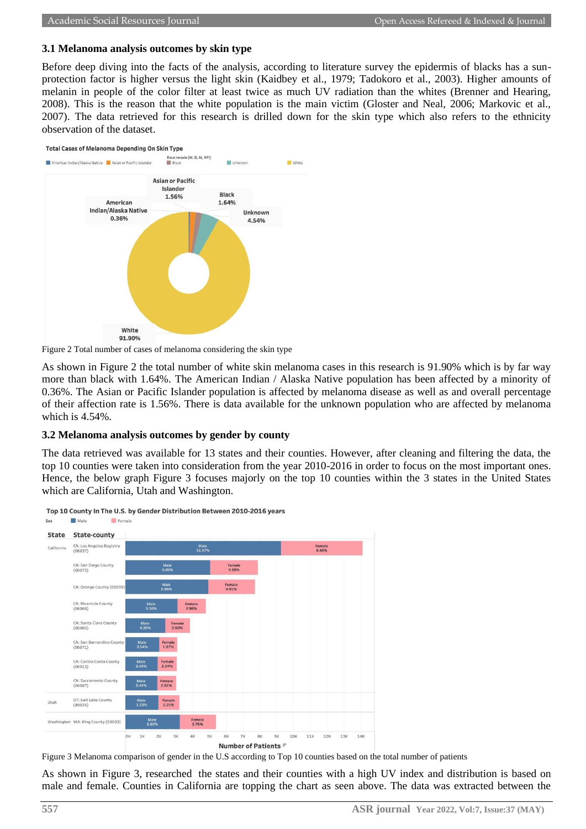#### **3.1 Melanoma analysis outcomes by skin type**

Before deep diving into the facts of the analysis, according to literature survey the epidermis of blacks has a sunprotection factor is higher versus the light skin (Kaidbey et al., 1979; Tadokoro et al., 2003). Higher amounts of melanin in people of the color filter at least twice as much UV radiation than the whites (Brenner and Hearing, 2008). This is the reason that the white population is the main victim (Gloster and Neal, 2006; Markovic et al., 2007). The data retrieved for this research is drilled down for the skin type which also refers to the ethnicity observation of the dataset.





Figure 2 Total number of cases of melanoma considering the skin type

As shown in Figure 2 the total number of white skin melanoma cases in this research is 91.90% which is by far way more than black with 1.64%. The American Indian / Alaska Native population has been affected by a minority of 0.36%. The Asian or Pacific Islander population is affected by melanoma disease as well as and overall percentage of their affection rate is 1.56%. There is data available for the unknown population who are affected by melanoma which is 4.54%.

#### **3.2 Melanoma analysis outcomes by gender by county**

The data retrieved was available for 13 states and their counties. However, after cleaning and filtering the data, the top 10 counties were taken into consideration from the year 2010-2016 in order to focus on the most important ones. Hence, the below graph Figure 3 focuses majorly on the top 10 counties within the 3 states in the United States which are California, Utah and Washington.



Top 10 County In The U.S. by Gender Distribution Between 2010-2016 years Male  $S_{P}$ Femal



As shown in Figure 3, researched the states and their counties with a high UV index and distribution is based on male and female. Counties in California are topping the chart as seen above. The data was extracted between the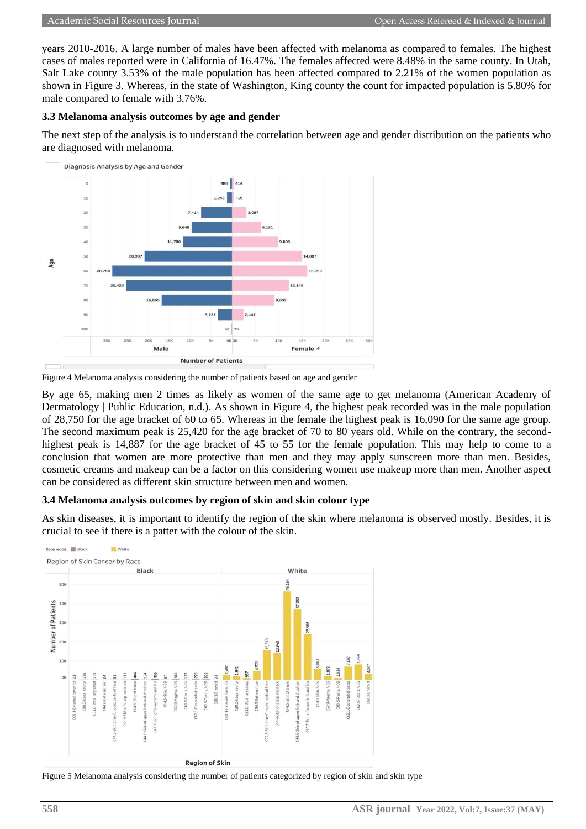years 2010-2016. A large number of males have been affected with melanoma as compared to females. The highest cases of males reported were in California of 16.47%. The females affected were 8.48% in the same county. In Utah, Salt Lake county 3.53% of the male population has been affected compared to 2.21% of the women population as shown in Figure 3. Whereas, in the state of Washington, King county the count for impacted population is 5.80% for male compared to female with 3.76%.

### **3.3 Melanoma analysis outcomes by age and gender**

The next step of the analysis is to understand the correlation between age and gender distribution on the patients who are diagnosed with melanoma.



Figure 4 Melanoma analysis considering the number of patients based on age and gender

By age 65, making men 2 times as likely as women of the same age to get melanoma (American Academy of Dermatology | Public Education, n.d.). As shown in Figure 4, the highest peak recorded was in the male population of 28,750 for the age bracket of 60 to 65. Whereas in the female the highest peak is 16,090 for the same age group. The second maximum peak is 25,420 for the age bracket of 70 to 80 years old. While on the contrary, the secondhighest peak is 14,887 for the age bracket of 45 to 55 for the female population. This may help to come to a conclusion that women are more protective than men and they may apply sunscreen more than men. Besides, cosmetic creams and makeup can be a factor on this considering women use makeup more than men. Another aspect can be considered as different skin structure between men and women.

## **3.4 Melanoma analysis outcomes by region of skin and skin colour type**

As skin diseases, it is important to identify the region of the skin where melanoma is observed mostly. Besides, it is crucial to see if there is a patter with the colour of the skin.



Figure 5 Melanoma analysis considering the number of patients categorized by region of skin and skin type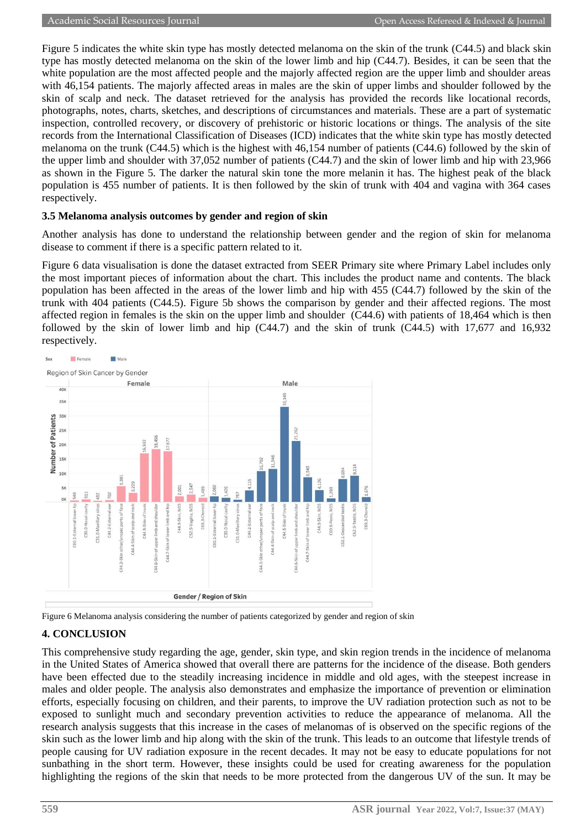Figure 5 indicates the white skin type has mostly detected melanoma on the skin of the trunk (C44.5) and black skin type has mostly detected melanoma on the skin of the lower limb and hip (C44.7). Besides, it can be seen that the white population are the most affected people and the majorly affected region are the upper limb and shoulder areas with 46,154 patients. The majorly affected areas in males are the skin of upper limbs and shoulder followed by the skin of scalp and neck. The dataset retrieved for the analysis has provided the records like locational records, photographs, notes, charts, sketches, and descriptions of circumstances and materials. These are a part of systematic inspection, controlled recovery, or discovery of prehistoric or historic locations or things. The analysis of the site records from the International Classification of Diseases (ICD) indicates that the white skin type has mostly detected melanoma on the trunk (C44.5) which is the highest with 46,154 number of patients (C44.6) followed by the skin of the upper limb and shoulder with 37,052 number of patients (C44.7) and the skin of lower limb and hip with 23,966 as shown in the Figure 5. The darker the natural skin tone the more melanin it has. The highest peak of the black population is 455 number of patients. It is then followed by the skin of trunk with 404 and vagina with 364 cases respectively.

## **3.5 Melanoma analysis outcomes by gender and region of skin**

Another analysis has done to understand the relationship between gender and the region of skin for melanoma disease to comment if there is a specific pattern related to it.

Figure 6 data visualisation is done the dataset extracted from SEER Primary site where Primary Label includes only the most important pieces of information about the chart. This includes the product name and contents. The black population has been affected in the areas of the lower limb and hip with 455 (C44.7) followed by the skin of the trunk with 404 patients (C44.5). Figure 5b shows the comparison by gender and their affected regions. The most affected region in females is the skin on the upper limb and shoulder (C44.6) with patients of 18,464 which is then followed by the skin of lower limb and hip (C44.7) and the skin of trunk (C44.5) with 17,677 and 16,932 respectively.



Figure 6 Melanoma analysis considering the number of patients categorized by gender and region of skin

## **4. CONCLUSION**

This comprehensive study regarding the age, gender, skin type, and skin region trends in the incidence of melanoma in the United States of America showed that overall there are patterns for the incidence of the disease. Both genders have been effected due to the steadily increasing incidence in middle and old ages, with the steepest increase in males and older people. The analysis also demonstrates and emphasize the importance of prevention or elimination efforts, especially focusing on children, and their parents, to improve the UV radiation protection such as not to be exposed to sunlight much and secondary prevention activities to reduce the appearance of melanoma. All the research analysis suggests that this increase in the cases of melanomas of is observed on the specific regions of the skin such as the lower limb and hip along with the skin of the trunk. This leads to an outcome that lifestyle trends of people causing for UV radiation exposure in the recent decades. It may not be easy to educate populations for not sunbathing in the short term. However, these insights could be used for creating awareness for the population highlighting the regions of the skin that needs to be more protected from the dangerous UV of the sun. It may be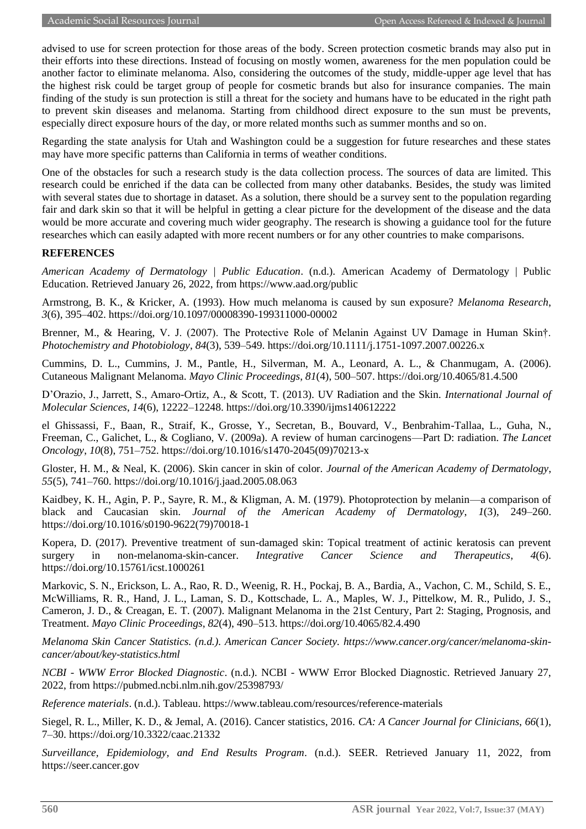advised to use for screen protection for those areas of the body. Screen protection cosmetic brands may also put in their efforts into these directions. Instead of focusing on mostly women, awareness for the men population could be another factor to eliminate melanoma. Also, considering the outcomes of the study, middle-upper age level that has the highest risk could be target group of people for cosmetic brands but also for insurance companies. The main finding of the study is sun protection is still a threat for the society and humans have to be educated in the right path to prevent skin diseases and melanoma. Starting from childhood direct exposure to the sun must be prevents, especially direct exposure hours of the day, or more related months such as summer months and so on.

Regarding the state analysis for Utah and Washington could be a suggestion for future researches and these states may have more specific patterns than California in terms of weather conditions.

One of the obstacles for such a research study is the data collection process. The sources of data are limited. This research could be enriched if the data can be collected from many other databanks. Besides, the study was limited with several states due to shortage in dataset. As a solution, there should be a survey sent to the population regarding fair and dark skin so that it will be helpful in getting a clear picture for the development of the disease and the data would be more accurate and covering much wider geography. The research is showing a guidance tool for the future researches which can easily adapted with more recent numbers or for any other countries to make comparisons.

## **REFERENCES**

*American Academy of Dermatology | Public Education*. (n.d.). American Academy of Dermatology | Public Education. Retrieved January 26, 2022, from https://www.aad.org/public

Armstrong, B. K., & Kricker, A. (1993). How much melanoma is caused by sun exposure? *Melanoma Research*, *3*(6), 395–402. https://doi.org/10.1097/00008390-199311000-00002

Brenner, M., & Hearing, V. J. (2007). The Protective Role of Melanin Against UV Damage in Human Skin†. *Photochemistry and Photobiology*, *84*(3), 539–549. https://doi.org/10.1111/j.1751-1097.2007.00226.x

Cummins, D. L., Cummins, J. M., Pantle, H., Silverman, M. A., Leonard, A. L., & Chanmugam, A. (2006). Cutaneous Malignant Melanoma. *Mayo Clinic Proceedings*, *81*(4), 500–507. https://doi.org/10.4065/81.4.500

D'Orazio, J., Jarrett, S., Amaro-Ortiz, A., & Scott, T. (2013). UV Radiation and the Skin. *International Journal of Molecular Sciences*, *14*(6), 12222–12248. https://doi.org/10.3390/ijms140612222

el Ghissassi, F., Baan, R., Straif, K., Grosse, Y., Secretan, B., Bouvard, V., Benbrahim-Tallaa, L., Guha, N., Freeman, C., Galichet, L., & Cogliano, V. (2009a). A review of human carcinogens—Part D: radiation. *The Lancet Oncology*, *10*(8), 751–752. https://doi.org/10.1016/s1470-2045(09)70213-x

Gloster, H. M., & Neal, K. (2006). Skin cancer in skin of color. *Journal of the American Academy of Dermatology*, *55*(5), 741–760. https://doi.org/10.1016/j.jaad.2005.08.063

Kaidbey, K. H., Agin, P. P., Sayre, R. M., & Kligman, A. M. (1979). Photoprotection by melanin—a comparison of black and Caucasian skin. *Journal of the American Academy of Dermatology*, *1*(3), 249–260. https://doi.org/10.1016/s0190-9622(79)70018-1

Kopera, D. (2017). Preventive treatment of sun-damaged skin: Topical treatment of actinic keratosis can prevent surgery in non-melanoma-skin-cancer. *Integrative Cancer Science and Therapeutics*, *4*(6). https://doi.org/10.15761/icst.1000261

Markovic, S. N., Erickson, L. A., Rao, R. D., Weenig, R. H., Pockaj, B. A., Bardia, A., Vachon, C. M., Schild, S. E., McWilliams, R. R., Hand, J. L., Laman, S. D., Kottschade, L. A., Maples, W. J., Pittelkow, M. R., Pulido, J. S., Cameron, J. D., & Creagan, E. T. (2007). Malignant Melanoma in the 21st Century, Part 2: Staging, Prognosis, and Treatment. *Mayo Clinic Proceedings*, *82*(4), 490–513. https://doi.org/10.4065/82.4.490

*Melanoma Skin Cancer Statistics. (n.d.). American Cancer Society. https://www.cancer.org/cancer/melanoma-skincancer/about/key-statistics.html*

*NCBI - WWW Error Blocked Diagnostic*. (n.d.). NCBI - WWW Error Blocked Diagnostic. Retrieved January 27, 2022, from https://pubmed.ncbi.nlm.nih.gov/25398793/

*Reference materials*. (n.d.). Tableau. https://www.tableau.com/resources/reference-materials

Siegel, R. L., Miller, K. D., & Jemal, A. (2016). Cancer statistics, 2016. *CA: A Cancer Journal for Clinicians*, *66*(1), 7–30. https://doi.org/10.3322/caac.21332

*Surveillance, Epidemiology, and End Results Program*. (n.d.). SEER. Retrieved January 11, 2022, from https://seer.cancer.gov